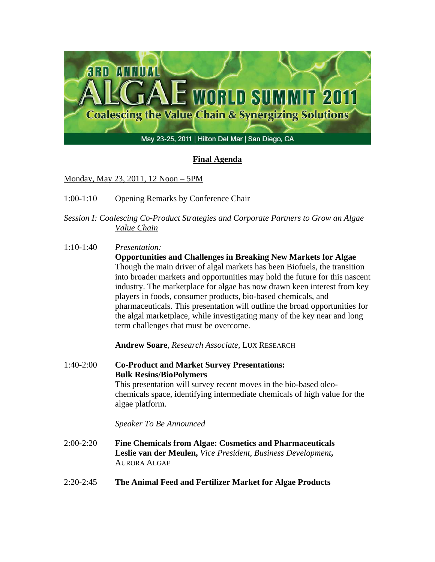

# **Final Agenda**

Monday, May 23, 2011, 12 Noon – 5PM

1:00-1:10 Opening Remarks by Conference Chair

## *Session I: Coalescing Co-Product Strategies and Corporate Partners to Grow an Algae Value Chain*

1:10-1:40 *Presentation:*

**Opportunities and Challenges in Breaking New Markets for Algae**  Though the main driver of algal markets has been Biofuels, the transition into broader markets and opportunities may hold the future for this nascent industry. The marketplace for algae has now drawn keen interest from key players in foods, consumer products, bio-based chemicals, and pharmaceuticals. This presentation will outline the broad opportunities for the algal marketplace, while investigating many of the key near and long term challenges that must be overcome.

**Andrew Soare**, *Research Associate,* LUX RESEARCH

1:40-2:00 **Co-Product and Market Survey Presentations: Bulk Resins/BioPolymers**  This presentation will survey recent moves in the bio-based oleochemicals space, identifying intermediate chemicals of high value for the algae platform. *Speaker To Be Announced*  2:00-2:20 **Fine Chemicals from Algae: Cosmetics and Pharmaceuticals** 

- **Leslie van der Meulen,** *Vice President, Business Development***,**  AURORA ALGAE
- 2:20-2:45 **The Animal Feed and Fertilizer Market for Algae Products**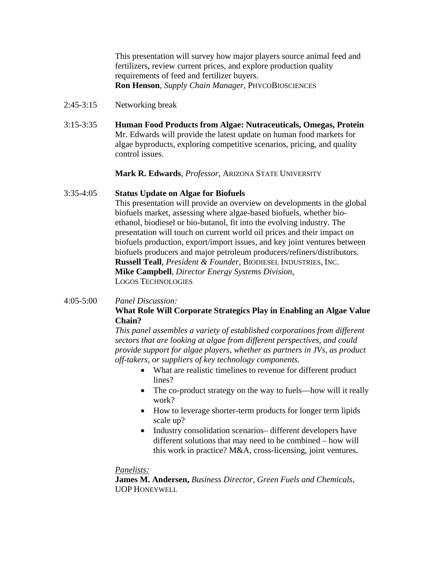This presentation will survey how major players source animal feed and fertilizers, review current prices, and explore production quality requirements of feed and fertilizer buyers. **Ron Henson**, *Supply Chain Manager*, PHYCOBIOSCIENCES

- 2:45-3:15 Networking break
- 3:15-3:35 **Human Food Products from Algae: Nutraceuticals, Omegas, Protein** Mr. Edwards will provide the latest update on human food markets for algae byproducts, exploring competitive scenarios, pricing, and quality control issues.

#### **Mark R. Edwards**, *Professor*, ARIZONA STATE UNIVERSITY

#### 3:35-4:05 **Status Update on Algae for Biofuels**

This presentation will provide an overview on developments in the global biofuels market, assessing where algae-based biofuels, whether bioethanol, biodiesel or bio-butanol, fit into the evolving industry. The presentation will touch on current world oil prices and their impact on biofuels production, export/import issues, and key joint ventures between biofuels producers and major petroleum producers/refiners/distributors. **Russell Teall**, *President & Founder*, BIODIESEL INDUSTRIES, INC. **Mike Campbell**, *Director Energy Systems Division*, LOGOS TECHNOLOGIES

#### 4:05-5:00 *Panel Discussion:* **What Role Will Corporate Strategics Play in Enabling an Algae Value Chain?**

*This panel assembles a variety of established corporations from different sectors that are looking at algae from different perspectives, and could provide support for algae players, whether as partners in JVs, as product off-takers, or suppliers of key technology components.* 

- What are realistic timelines to revenue for different product lines?
- The co-product strategy on the way to fuels—how will it really work?
- How to leverage shorter-term products for longer term lipids scale up?
- Industry consolidation scenarios– different developers have different solutions that may need to be combined – how will this work in practice? M&A, cross-licensing, joint ventures.

#### *Panelists:*

**James M. Andersen,** *Business Director, Green Fuels and Chemicals,*  UOP HONEYWELL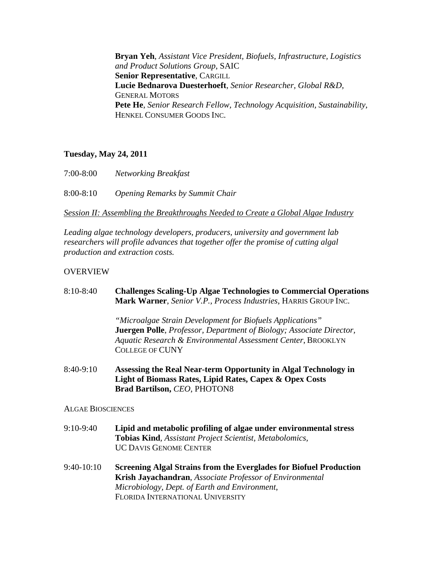**Bryan Yeh**, *Assistant Vice President, Biofuels, Infrastructure, Logistics and Product Solutions Group*, SAIC **Senior Representative**, CARGILL **Lucie Bednarova Duesterhoeft**, *Senior Researcher, Global R&D,*  GENERAL MOTORS **Pete He**, *Senior Research Fellow, Technology Acquisition, Sustainability*, HENKEL CONSUMER GOODS INC.

### **Tuesday, May 24, 2011**

| 7:00-8:00 | <b>Networking Breakfast</b>                   |
|-----------|-----------------------------------------------|
| 8:00-8:10 | <i><b>Opening Remarks by Summit Chair</b></i> |

*Session II: Assembling the Breakthroughs Needed to Create a Global Algae Industry*

*Leading algae technology developers, producers, university and government lab researchers will profile advances that together offer the promise of cutting algal production and extraction costs.* 

### OVERVIEW

| 8:10-8:40                | <b>Challenges Scaling-Up Algae Technologies to Commercial Operations</b><br>Mark Warner, Senior V.P., Process Industries, HARRIS GROUP INC.                                                                                                                 |
|--------------------------|-------------------------------------------------------------------------------------------------------------------------------------------------------------------------------------------------------------------------------------------------------------|
|                          | "Microalgae Strain Development for Biofuels Applications"<br><b>Juergen Polle</b> , <i>Professor</i> , <i>Department of Biology</i> ; <i>Associate Director</i> ,<br>Aquatic Research & Environmental Assessment Center, BROOKLYN<br><b>COLLEGE OF CUNY</b> |
| 8:40-9:10                | Assessing the Real Near-term Opportunity in Algal Technology in<br>Light of Biomass Rates, Lipid Rates, Capex & Opex Costs<br>Brad Bartilson, CEO, PHOTON8                                                                                                  |
| <b>ALGAE BIOSCIENCES</b> |                                                                                                                                                                                                                                                             |
| 9:10-9:40                | Lipid and metabolic profiling of algae under environmental stress<br><b>Tobias Kind, Assistant Project Scientist, Metabolomics,</b><br><b>UC DAVIS GENOME CENTER</b>                                                                                        |
| 9:40-10:10               | <b>Screening Algal Strains from the Everglades for Biofuel Production</b><br><b>Krish Jayachandran, Associate Professor of Environmental</b><br>Microbiology, Dept. of Earth and Environment,<br>FLORIDA INTERNATIONAL UNIVERSITY                           |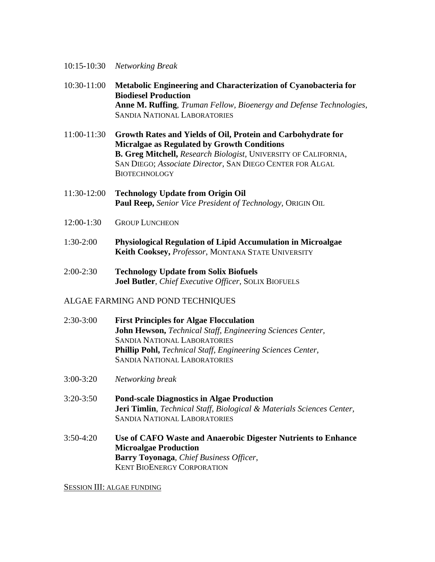- 10:15-10:30 *Networking Break*
- 10:30-11:00 **Metabolic Engineering and Characterization of Cyanobacteria for Biodiesel Production Anne M. Ruffing**, *Truman Fellow, Bioenergy and Defense Technologies*, SANDIA NATIONAL LABORATORIES
- 11:00-11:30 **Growth Rates and Yields of Oil, Protein and Carbohydrate for Micralgae as Regulated by Growth Conditions B. Greg Mitchell,** *Research Biologist,* UNIVERSITY OF CALIFORNIA, SAN DIEGO; *Associate Director*, SAN DIEGO CENTER FOR ALGAL **BIOTECHNOLOGY**
- 11:30-12:00 **Technology Update from Origin Oil Paul Reep,** *Senior Vice President of Technology,* ORIGIN OIL
- 12:00-1:30 GROUP LUNCHEON
- 1:30-2:00 **Physiological Regulation of Lipid Accumulation in Microalgae Keith Cooksey,** *Professor*, MONTANA STATE UNIVERSITY
- 2:00-2:30 **Technology Update from Solix Biofuels Joel Butler**, *Chief Executive Officer*, SOLIX BIOFUELS

### ALGAE FARMING AND POND TECHNIQUES

- 2:30-3:00 **First Principles for Algae Flocculation John Hewson,** *Technical Staff, Engineering Sciences Center,*  SANDIA NATIONAL LABORATORIES **Phillip Pohl,** *Technical Staff, Engineering Sciences Center,*  SANDIA NATIONAL LABORATORIES
- 3:00-3:20 *Networking break*
- 3:20-3:50 **Pond-scale Diagnostics in Algae Production Jeri Timlin**, *Technical Staff, Biological & Materials Sciences Center,* SANDIA NATIONAL LABORATORIES
- 3:50-4:20 **Use of CAFO Waste and Anaerobic Digester Nutrients to Enhance Microalgae Production Barry Toyonaga**, *Chief Business Officer*, KENT BIOENERGY CORPORATION

#### SESSION III: ALGAE FUNDING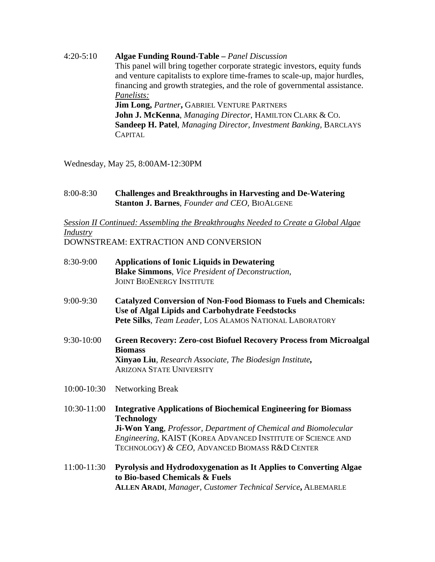4:20-5:10 **Algae Funding Round-Table –** *Panel Discussion*  This panel will bring together corporate strategic investors, equity funds and venture capitalists to explore time-frames to scale-up, major hurdles, financing and growth strategies, and the role of governmental assistance. *Panelists:* **Jim Long,** *Partner***,** GABRIEL VENTURE PARTNERS **John J. McKenna**, *Managing Director*, HAMILTON CLARK & CO. **Sandeep H. Patel**, *Managing Director, Investment Banking,* BARCLAYS **CAPITAL** 

Wednesday, May 25, 8:00AM-12:30PM

8:00-8:30 **Challenges and Breakthroughs in Harvesting and De-Watering Stanton J. Barnes**, *Founder and CEO*, BIOALGENE

## *Session II Continued: Assembling the Breakthroughs Needed to Create a Global Algae Industry*

DOWNSTREAM: EXTRACTION AND CONVERSION

| 8:30-9:00   | <b>Applications of Ionic Liquids in Dewatering</b><br><b>Blake Simmons</b> , Vice President of Deconstruction,<br><b>JOINT BIOENERGY INSTITUTE</b>                                                                                                                                     |
|-------------|----------------------------------------------------------------------------------------------------------------------------------------------------------------------------------------------------------------------------------------------------------------------------------------|
| 9:00-9:30   | <b>Catalyzed Conversion of Non-Food Biomass to Fuels and Chemicals:</b><br>Use of Algal Lipids and Carbohydrate Feedstocks<br>Pete Silks, Team Leader, LOS ALAMOS NATIONAL LABORATORY                                                                                                  |
| 9:30-10:00  | <b>Green Recovery: Zero-cost Biofuel Recovery Process from Microalgal</b><br><b>Biomass</b><br>Xinyao Liu, Research Associate, The Biodesign Institute,<br><b>ARIZONA STATE UNIVERSITY</b>                                                                                             |
| 10:00-10:30 | Networking Break                                                                                                                                                                                                                                                                       |
| 10:30-11:00 | <b>Integrative Applications of Biochemical Engineering for Biomass</b><br><b>Technology</b><br><b>Ji-Won Yang, Professor, Department of Chemical and Biomolecular</b><br>Engineering, KAIST (KOREA ADVANCED INSTITUTE OF SCIENCE AND<br>TECHNOLOGY) & CEO, ADVANCED BIOMASS R&D CENTER |
| 11:00-11:30 | Pyrolysis and Hydrodoxygenation as It Applies to Converting Algae<br>to Bio-based Chemicals & Fuels<br><b>ALLEN ARADI, Manager, Customer Technical Service, ALBEMARLE</b>                                                                                                              |